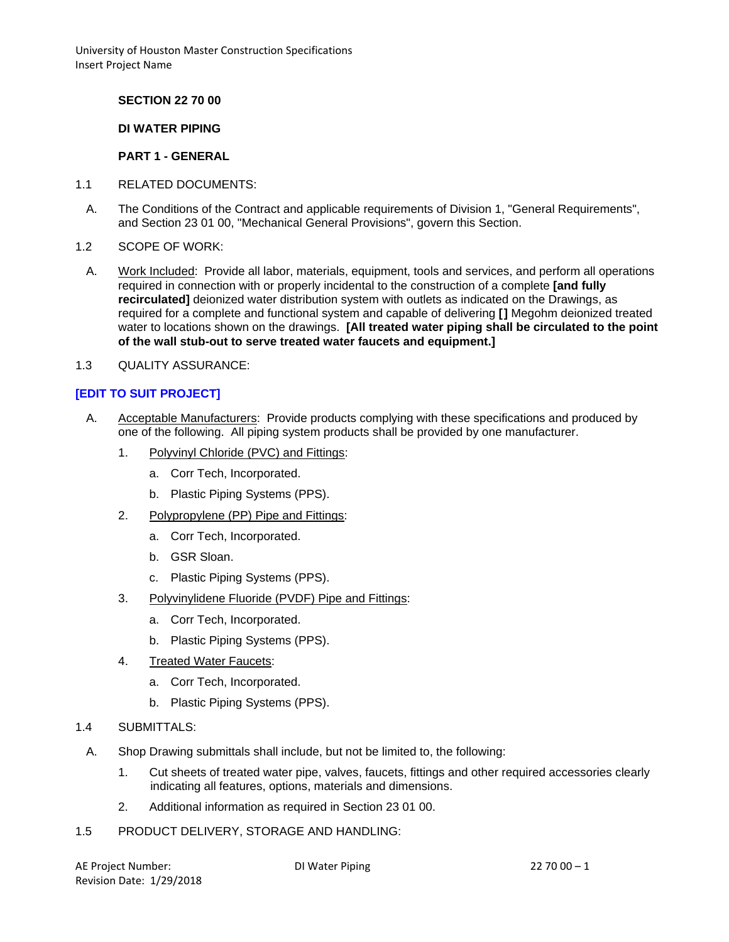**SECTION 22 70 00**

### **DI WATER PIPING**

### **PART 1 - GENERAL**

- 1.1 RELATED DOCUMENTS:
	- A. The Conditions of the Contract and applicable requirements of Division 1, "General Requirements", and Section 23 01 00, "Mechanical General Provisions", govern this Section.
- 1.2 SCOPE OF WORK:
- A. Work Included: Provide all labor, materials, equipment, tools and services, and perform all operations required in connection with or properly incidental to the construction of a complete **[and fully recirculated]** deionized water distribution system with outlets as indicated on the Drawings, as required for a complete and functional system and capable of delivering **[]** Megohm deionized treated water to locations shown on the drawings. **[All treated water piping shall be circulated to the point of the wall stub-out to serve treated water faucets and equipment.]**
- 1.3 QUALITY ASSURANCE:

## **[EDIT TO SUIT PROJECT]**

- A. Acceptable Manufacturers: Provide products complying with these specifications and produced by one of the following. All piping system products shall be provided by one manufacturer.
	- 1. Polyvinyl Chloride (PVC) and Fittings:
		- a. Corr Tech, Incorporated.
		- b. Plastic Piping Systems (PPS).
	- 2. Polypropylene (PP) Pipe and Fittings:
		- a. Corr Tech, Incorporated.
		- b. GSR Sloan.
		- c. Plastic Piping Systems (PPS).
	- 3. Polyvinylidene Fluoride (PVDF) Pipe and Fittings:
		- a. Corr Tech, Incorporated.
		- b. Plastic Piping Systems (PPS).
	- 4. Treated Water Faucets:
		- a. Corr Tech, Incorporated.
		- b. Plastic Piping Systems (PPS).
- 1.4 SUBMITTALS:
	- A. Shop Drawing submittals shall include, but not be limited to, the following:
		- 1. Cut sheets of treated water pipe, valves, faucets, fittings and other required accessories clearly indicating all features, options, materials and dimensions.
		- 2. Additional information as required in Section 23 01 00.
- 1.5 PRODUCT DELIVERY, STORAGE AND HANDLING: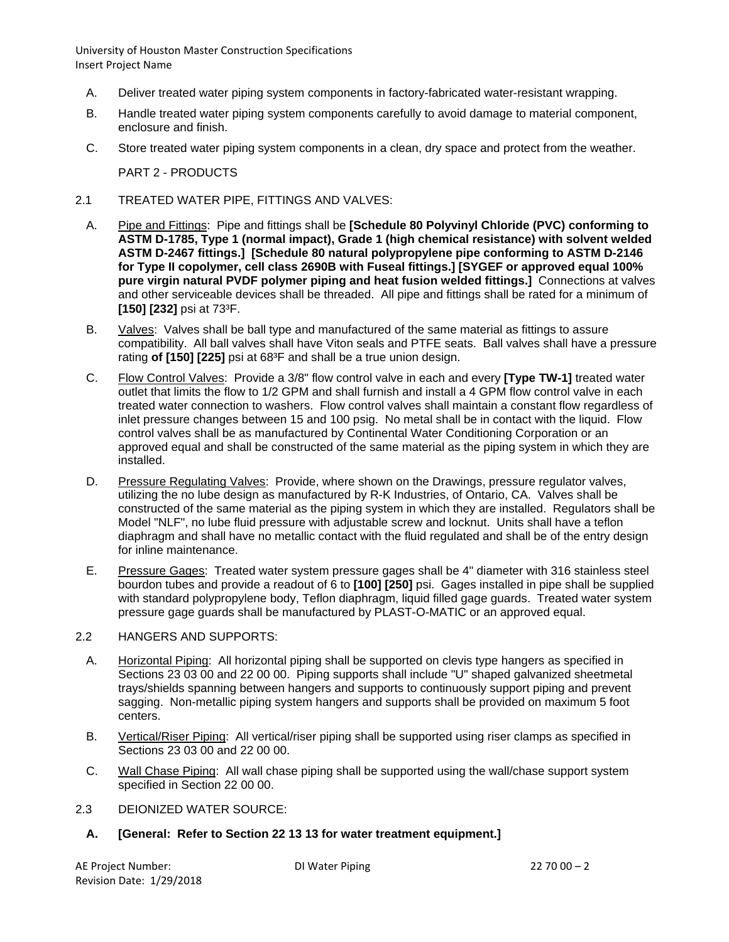- A. Deliver treated water piping system components in factory-fabricated water-resistant wrapping.
- B. Handle treated water piping system components carefully to avoid damage to material component, enclosure and finish.
- C. Store treated water piping system components in a clean, dry space and protect from the weather.

PART 2 - PRODUCTS

- 2.1 TREATED WATER PIPE, FITTINGS AND VALVES:
	- A. Pipe and Fittings: Pipe and fittings shall be **[Schedule 80 Polyvinyl Chloride (PVC) conforming to ASTM D-1785, Type 1 (normal impact), Grade 1 (high chemical resistance) with solvent welded ASTM D-2467 fittings.] [Schedule 80 natural polypropylene pipe conforming to ASTM D-2146 for Type II copolymer, cell class 2690B with Fuseal fittings.] [SYGEF or approved equal 100% pure virgin natural PVDF polymer piping and heat fusion welded fittings.]** Connections at valves and other serviceable devices shall be threaded. All pipe and fittings shall be rated for a minimum of **[150] [232]** psi at 73³F.
	- B. Valves: Valves shall be ball type and manufactured of the same material as fittings to assure compatibility. All ball valves shall have Viton seals and PTFE seats. Ball valves shall have a pressure rating **of [150] [225]** psi at 68<sup>3</sup>F and shall be a true union design.
	- C. Flow Control Valves: Provide a 3/8" flow control valve in each and every **[Type TW-1]** treated water outlet that limits the flow to 1/2 GPM and shall furnish and install a 4 GPM flow control valve in each treated water connection to washers. Flow control valves shall maintain a constant flow regardless of inlet pressure changes between 15 and 100 psig. No metal shall be in contact with the liquid. Flow control valves shall be as manufactured by Continental Water Conditioning Corporation or an approved equal and shall be constructed of the same material as the piping system in which they are installed.
	- D. Pressure Regulating Valves: Provide, where shown on the Drawings, pressure regulator valves, utilizing the no lube design as manufactured by R-K Industries, of Ontario, CA. Valves shall be constructed of the same material as the piping system in which they are installed. Regulators shall be Model "NLF", no lube fluid pressure with adjustable screw and locknut. Units shall have a teflon diaphragm and shall have no metallic contact with the fluid regulated and shall be of the entry design for inline maintenance.
	- E. Pressure Gages: Treated water system pressure gages shall be 4" diameter with 316 stainless steel bourdon tubes and provide a readout of 6 to **[100] [250]** psi. Gages installed in pipe shall be supplied with standard polypropylene body, Teflon diaphragm, liquid filled gage guards. Treated water system pressure gage guards shall be manufactured by PLAST-O-MATIC or an approved equal.

#### 2.2 HANGERS AND SUPPORTS:

- A. Horizontal Piping: All horizontal piping shall be supported on clevis type hangers as specified in Sections 23 03 00 and 22 00 00. Piping supports shall include "U" shaped galvanized sheetmetal trays/shields spanning between hangers and supports to continuously support piping and prevent sagging. Non-metallic piping system hangers and supports shall be provided on maximum 5 foot centers.
- B. Vertical/Riser Piping: All vertical/riser piping shall be supported using riser clamps as specified in Sections 23 03 00 and 22 00 00.
- C. Wall Chase Piping: All wall chase piping shall be supported using the wall/chase support system specified in Section 22 00 00.
- 2.3 DEIONIZED WATER SOURCE:
	- **A. [General: Refer to Section 22 13 13 for water treatment equipment.]**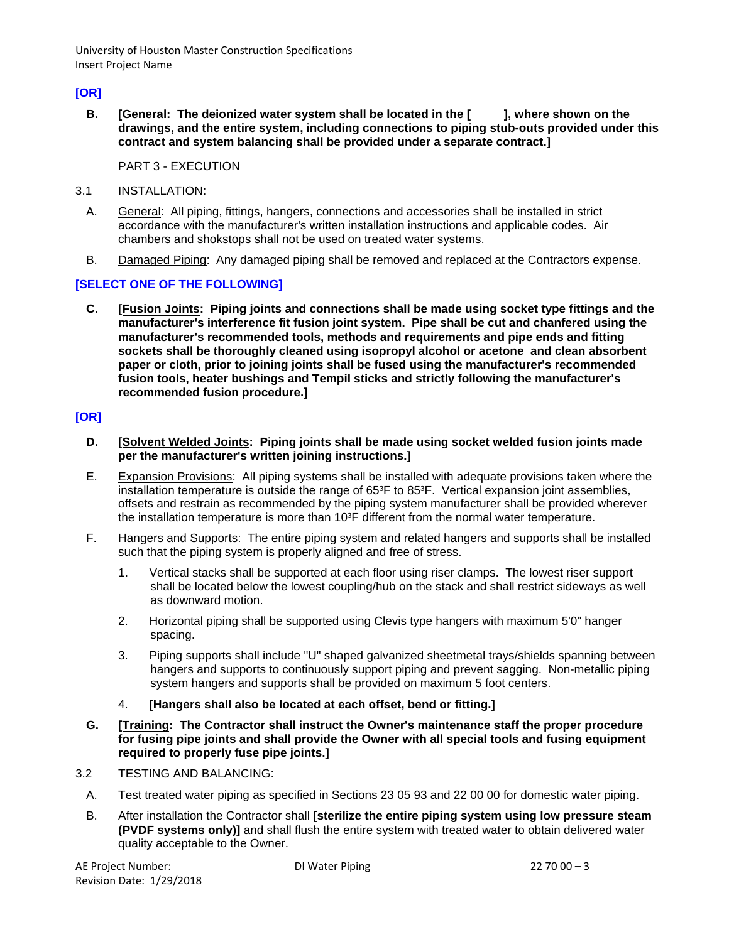# **[OR]**

**B. [General: The deionized water system shall be located in the [ ], where shown on the drawings, and the entire system, including connections to piping stub-outs provided under this contract and system balancing shall be provided under a separate contract.]**

PART 3 - EXECUTION

- 3.1 INSTALLATION:
	- A. General: All piping, fittings, hangers, connections and accessories shall be installed in strict accordance with the manufacturer's written installation instructions and applicable codes. Air chambers and shokstops shall not be used on treated water systems.
	- B. Damaged Piping: Any damaged piping shall be removed and replaced at the Contractors expense.

## **[SELECT ONE OF THE FOLLOWING]**

**C. [Fusion Joints: Piping joints and connections shall be made using socket type fittings and the manufacturer's interference fit fusion joint system. Pipe shall be cut and chanfered using the manufacturer's recommended tools, methods and requirements and pipe ends and fitting sockets shall be thoroughly cleaned using isopropyl alcohol or acetone and clean absorbent paper or cloth, prior to joining joints shall be fused using the manufacturer's recommended fusion tools, heater bushings and Tempil sticks and strictly following the manufacturer's recommended fusion procedure.]**

## **[OR]**

- **D. [Solvent Welded Joints: Piping joints shall be made using socket welded fusion joints made per the manufacturer's written joining instructions.]**
- E. Expansion Provisions: All piping systems shall be installed with adequate provisions taken where the installation temperature is outside the range of 65<sup>3</sup>F to 85<sup>3</sup>F. Vertical expansion joint assemblies, offsets and restrain as recommended by the piping system manufacturer shall be provided wherever the installation temperature is more than  $10<sup>3</sup>F$  different from the normal water temperature.
- F. Hangers and Supports: The entire piping system and related hangers and supports shall be installed such that the piping system is properly aligned and free of stress.
	- 1. Vertical stacks shall be supported at each floor using riser clamps. The lowest riser support shall be located below the lowest coupling/hub on the stack and shall restrict sideways as well as downward motion.
	- 2. Horizontal piping shall be supported using Clevis type hangers with maximum 5'0" hanger spacing.
	- 3. Piping supports shall include "U" shaped galvanized sheetmetal trays/shields spanning between hangers and supports to continuously support piping and prevent sagging. Non-metallic piping system hangers and supports shall be provided on maximum 5 foot centers.
	- 4. **[Hangers shall also be located at each offset, bend or fitting.]**
- **G. [Training: The Contractor shall instruct the Owner's maintenance staff the proper procedure for fusing pipe joints and shall provide the Owner with all special tools and fusing equipment required to properly fuse pipe joints.]**
- 3.2 TESTING AND BALANCING:
	- A. Test treated water piping as specified in Sections 23 05 93 and 22 00 00 for domestic water piping.
	- B. After installation the Contractor shall **[sterilize the entire piping system using low pressure steam (PVDF systems only)]** and shall flush the entire system with treated water to obtain delivered water quality acceptable to the Owner.